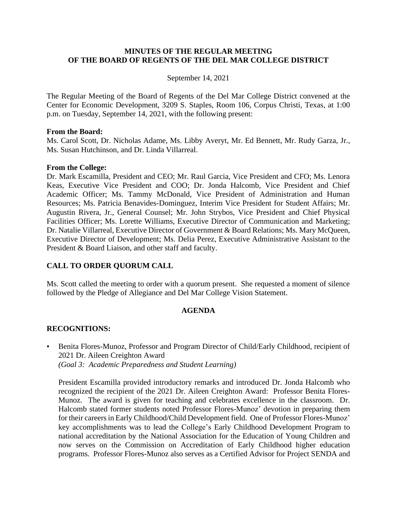#### **MINUTES OF THE REGULAR MEETING OF THE BOARD OF REGENTS OF THE DEL MAR COLLEGE DISTRICT**

#### September 14, 2021

The Regular Meeting of the Board of Regents of the Del Mar College District convened at the Center for Economic Development, 3209 S. Staples, Room 106, Corpus Christi, Texas, at 1:00 p.m. on Tuesday, September 14, 2021, with the following present:

#### **From the Board:**

Ms. Carol Scott, Dr. Nicholas Adame, Ms. Libby Averyt, Mr. Ed Bennett, Mr. Rudy Garza, Jr., Ms. Susan Hutchinson, and Dr. Linda Villarreal.

#### **From the College:**

Dr. Mark Escamilla, President and CEO; Mr. Raul Garcia, Vice President and CFO; Ms. Lenora Keas, Executive Vice President and COO; Dr. Jonda Halcomb, Vice President and Chief Academic Officer; Ms. Tammy McDonald, Vice President of Administration and Human Resources; Ms. Patricia Benavides-Dominguez, Interim Vice President for Student Affairs; Mr. Augustin Rivera, Jr., General Counsel; Mr. John Strybos, Vice President and Chief Physical Facilities Officer; Ms. Lorette Williams, Executive Director of Communication and Marketing; Dr. Natalie Villarreal, Executive Director of Government & Board Relations; Ms. Mary McQueen, Executive Director of Development; Ms. Delia Perez, Executive Administrative Assistant to the President & Board Liaison, and other staff and faculty.

#### **CALL TO ORDER QUORUM CALL**

Ms. Scott called the meeting to order with a quorum present. She requested a moment of silence followed by the Pledge of Allegiance and Del Mar College Vision Statement.

#### **AGENDA**

#### **RECOGNITIONS:**

• Benita Flores-Munoz, Professor and Program Director of Child/Early Childhood, recipient of 2021 Dr. Aileen Creighton Award *(Goal 3: Academic Preparedness and Student Learning)*

President Escamilla provided introductory remarks and introduced Dr. Jonda Halcomb who recognized the recipient of the 2021 Dr. Aileen Creighton Award: Professor Benita Flores-Munoz. The award is given for teaching and celebrates excellence in the classroom. Dr. Halcomb stated former students noted Professor Flores-Munoz' devotion in preparing them for their careers in Early Childhood/Child Development field. One of Professor Flores-Munoz' key accomplishments was to lead the College's Early Childhood Development Program to national accreditation by the National Association for the Education of Young Children and now serves on the Commission on Accreditation of Early Childhood higher education programs. Professor Flores-Munoz also serves as a Certified Advisor for Project SENDA and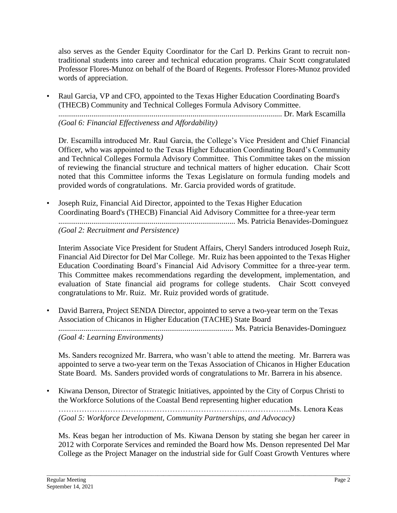also serves as the Gender Equity Coordinator for the Carl D. Perkins Grant to recruit nontraditional students into career and technical education programs. Chair Scott congratulated Professor Flores-Munoz on behalf of the Board of Regents. Professor Flores-Munoz provided words of appreciation.

• Raul Garcia, VP and CFO, appointed to the Texas Higher Education Coordinating Board's (THECB) Community and Technical Colleges Formula Advisory Committee. ................................................................................................................... Dr. Mark Escamilla *(Goal 6: Financial Effectiveness and Affordability)*

Dr. Escamilla introduced Mr. Raul Garcia, the College's Vice President and Chief Financial Officer, who was appointed to the Texas Higher Education Coordinating Board's Community and Technical Colleges Formula Advisory Committee. This Committee takes on the mission of reviewing the financial structure and technical matters of higher education. Chair Scott noted that this Committee informs the Texas Legislature on formula funding models and provided words of congratulations. Mr. Garcia provided words of gratitude.

• Joseph Ruiz, Financial Aid Director, appointed to the Texas Higher Education Coordinating Board's (THECB) Financial Aid Advisory Committee for a three-year term ........................................................................................... Ms. Patricia Benavides-Dominguez *(Goal 2: Recruitment and Persistence)*

Interim Associate Vice President for Student Affairs, Cheryl Sanders introduced Joseph Ruiz, Financial Aid Director for Del Mar College. Mr. Ruiz has been appointed to the Texas Higher Education Coordinating Board's Financial Aid Advisory Committee for a three-year term. This Committee makes recommendations regarding the development, implementation, and evaluation of State financial aid programs for college students. Chair Scott conveyed congratulations to Mr. Ruiz. Mr. Ruiz provided words of gratitude.

• David Barrera, Project SENDA Director, appointed to serve a two-year term on the Texas Association of Chicanos in Higher Education (TACHE) State Board

.......................................................................................... Ms. Patricia Benavides-Dominguez *(Goal 4: Learning Environments)*

Ms. Sanders recognized Mr. Barrera, who wasn't able to attend the meeting. Mr. Barrera was appointed to serve a two-year term on the Texas Association of Chicanos in Higher Education State Board. Ms. Sanders provided words of congratulations to Mr. Barrera in his absence.

• Kiwana Denson, Director of Strategic Initiatives, appointed by the City of Corpus Christi to the Workforce Solutions of the Coastal Bend representing higher education ……………………………………………………………………………...Ms. Lenora Keas *(Goal 5: Workforce Development, Community Partnerships, and Advocacy)*

Ms. Keas began her introduction of Ms. Kiwana Denson by stating she began her career in 2012 with Corporate Services and reminded the Board how Ms. Denson represented Del Mar College as the Project Manager on the industrial side for Gulf Coast Growth Ventures where

\_\_\_\_\_\_\_\_\_\_\_\_\_\_\_\_\_\_\_\_\_\_\_\_\_\_\_\_\_\_\_\_\_\_\_\_\_\_\_\_\_\_\_\_\_\_\_\_\_\_\_\_\_\_\_\_\_\_\_\_\_\_\_\_\_\_\_\_\_\_\_\_\_\_\_\_\_\_\_\_\_\_\_\_\_\_\_\_\_\_\_\_\_\_\_\_\_\_\_\_\_\_\_\_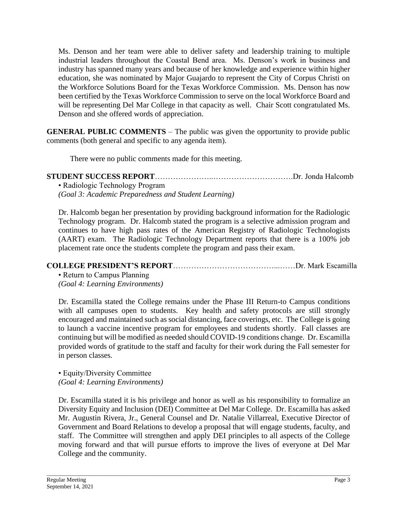Ms. Denson and her team were able to deliver safety and leadership training to multiple industrial leaders throughout the Coastal Bend area. Ms. Denson's work in business and industry has spanned many years and because of her knowledge and experience within higher education, she was nominated by Major Guajardo to represent the City of Corpus Christi on the Workforce Solutions Board for the Texas Workforce Commission. Ms. Denson has now been certified by the Texas Workforce Commission to serve on the local Workforce Board and will be representing Del Mar College in that capacity as well. Chair Scott congratulated Ms. Denson and she offered words of appreciation.

**GENERAL PUBLIC COMMENTS** – The public was given the opportunity to provide public comments (both general and specific to any agenda item).

There were no public comments made for this meeting.

| • Radiologic Technology Program                      |  |
|------------------------------------------------------|--|
| (Goal 3: Academic Preparedness and Student Learning) |  |

Dr. Halcomb began her presentation by providing background information for the Radiologic Technology program. Dr. Halcomb stated the program is a selective admission program and continues to have high pass rates of the American Registry of Radiologic Technologists (AART) exam. The Radiologic Technology Department reports that there is a 100% job placement rate once the students complete the program and pass their exam.

# **COLLEGE PRESIDENT'S REPORT**…………………………………...……Dr. Mark Escamilla

• Return to Campus Planning *(Goal 4: Learning Environments)*

Dr. Escamilla stated the College remains under the Phase III Return-to Campus conditions with all campuses open to students. Key health and safety protocols are still strongly encouraged and maintained such as social distancing, face coverings, etc. The College is going to launch a vaccine incentive program for employees and students shortly. Fall classes are continuing but will be modified as needed should COVID-19 conditions change. Dr. Escamilla provided words of gratitude to the staff and faculty for their work during the Fall semester for in person classes.

• Equity/Diversity Committee *(Goal 4: Learning Environments)*

Dr. Escamilla stated it is his privilege and honor as well as his responsibility to formalize an Diversity Equity and Inclusion (DEI) Committee at Del Mar College. Dr. Escamilla has asked Mr. Augustin Rivera, Jr., General Counsel and Dr. Natalie Villarreal, Executive Director of Government and Board Relations to develop a proposal that will engage students, faculty, and staff. The Committee will strengthen and apply DEI principles to all aspects of the College moving forward and that will pursue efforts to improve the lives of everyone at Del Mar College and the community.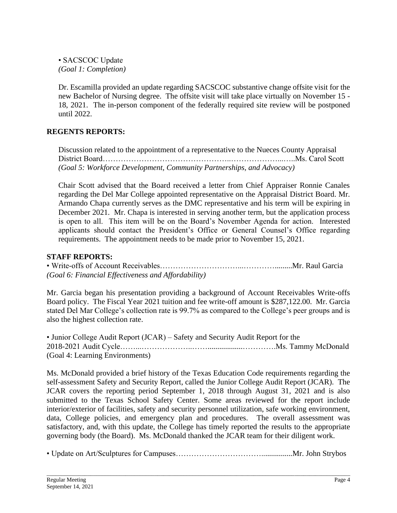• SACSCOC Update *(Goal 1: Completion)*

Dr. Escamilla provided an update regarding SACSCOC substantive change offsite visit for the new Bachelor of Nursing degree. The offsite visit will take place virtually on November 15 - 18, 2021. The in-person component of the federally required site review will be postponed until 2022.

# **REGENTS REPORTS:**

Discussion related to the appointment of a representative to the Nueces County Appraisal District Board…………………………………………..………………...…..Ms. Carol Scott *(Goal 5: Workforce Development, Community Partnerships, and Advocacy)*

Chair Scott advised that the Board received a letter from Chief Appraiser Ronnie Canales regarding the Del Mar College appointed representative on the Appraisal District Board. Mr. Armando Chapa currently serves as the DMC representative and his term will be expiring in December 2021. Mr. Chapa is interested in serving another term, but the application process is open to all. This item will be on the Board's November Agenda for action. Interested applicants should contact the President's Office or General Counsel's Office regarding requirements. The appointment needs to be made prior to November 15, 2021.

# **STAFF REPORTS:**

• Write-offs of Account Receivables…………………………...………….........Mr. Raul Garcia *(Goal 6: Financial Effectiveness and Affordability)*

Mr. Garcia began his presentation providing a background of Account Receivables Write-offs Board policy. The Fiscal Year 2021 tuition and fee write-off amount is \$287,122.00. Mr. Garcia stated Del Mar College's collection rate is 99.7% as compared to the College's peer groups and is also the highest collection rate.

• Junior College Audit Report (JCAR) – Safety and Security Audit Report for the 2018-2021 Audit Cycle……...………………..……..................………….Ms. Tammy McDonald (Goal 4: Learning Environments)

Ms. McDonald provided a brief history of the Texas Education Code requirements regarding the self-assessment Safety and Security Report, called the Junior College Audit Report (JCAR). The JCAR covers the reporting period September 1, 2018 through August 31, 2021 and is also submitted to the Texas School Safety Center. Some areas reviewed for the report include interior/exterior of facilities, safety and security personnel utilization, safe working environment, data, College policies, and emergency plan and procedures. The overall assessment was satisfactory, and, with this update, the College has timely reported the results to the appropriate governing body (the Board). Ms. McDonald thanked the JCAR team for their diligent work.

• Update on Art/Sculptures for Campuses……………………………................Mr. John Strybos

\_\_\_\_\_\_\_\_\_\_\_\_\_\_\_\_\_\_\_\_\_\_\_\_\_\_\_\_\_\_\_\_\_\_\_\_\_\_\_\_\_\_\_\_\_\_\_\_\_\_\_\_\_\_\_\_\_\_\_\_\_\_\_\_\_\_\_\_\_\_\_\_\_\_\_\_\_\_\_\_\_\_\_\_\_\_\_\_\_\_\_\_\_\_\_\_\_\_\_\_\_\_\_\_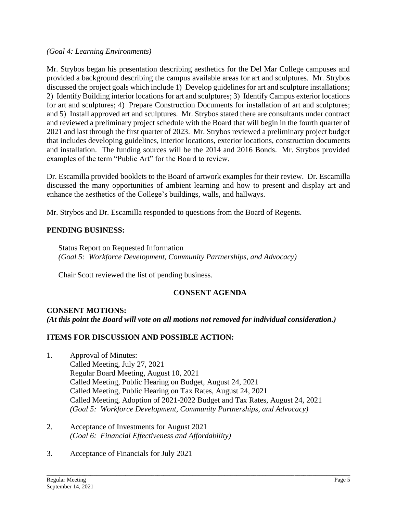#### *(Goal 4: Learning Environments)*

Mr. Strybos began his presentation describing aesthetics for the Del Mar College campuses and provided a background describing the campus available areas for art and sculptures. Mr. Strybos discussed the project goals which include 1) Develop guidelines for art and sculpture installations; 2) Identify Building interior locations for art and sculptures; 3) Identify Campus exterior locations for art and sculptures; 4) Prepare Construction Documents for installation of art and sculptures; and 5) Install approved art and sculptures. Mr. Strybos stated there are consultants under contract and reviewed a preliminary project schedule with the Board that will begin in the fourth quarter of 2021 and last through the first quarter of 2023. Mr. Strybos reviewed a preliminary project budget that includes developing guidelines, interior locations, exterior locations, construction documents and installation. The funding sources will be the 2014 and 2016 Bonds. Mr. Strybos provided examples of the term "Public Art" for the Board to review.

Dr. Escamilla provided booklets to the Board of artwork examples for their review. Dr. Escamilla discussed the many opportunities of ambient learning and how to present and display art and enhance the aesthetics of the College's buildings, walls, and hallways.

Mr. Strybos and Dr. Escamilla responded to questions from the Board of Regents.

# **PENDING BUSINESS:**

Status Report on Requested Information *(Goal 5: Workforce Development, Community Partnerships, and Advocacy)*

Chair Scott reviewed the list of pending business.

# **CONSENT AGENDA**

### **CONSENT MOTIONS:** *(At this point the Board will vote on all motions not removed for individual consideration.)*

# **ITEMS FOR DISCUSSION AND POSSIBLE ACTION:**

1. Approval of Minutes: Called Meeting, July 27, 2021 Regular Board Meeting, August 10, 2021 Called Meeting, Public Hearing on Budget, August 24, 2021 Called Meeting, Public Hearing on Tax Rates, August 24, 2021 Called Meeting, Adoption of 2021-2022 Budget and Tax Rates, August 24, 2021 *(Goal 5: Workforce Development, Community Partnerships, and Advocacy)*

\_\_\_\_\_\_\_\_\_\_\_\_\_\_\_\_\_\_\_\_\_\_\_\_\_\_\_\_\_\_\_\_\_\_\_\_\_\_\_\_\_\_\_\_\_\_\_\_\_\_\_\_\_\_\_\_\_\_\_\_\_\_\_\_\_\_\_\_\_\_\_\_\_\_\_\_\_\_\_\_\_\_\_\_\_\_\_\_\_\_\_\_\_\_\_\_\_\_\_\_\_\_\_\_

- 2. Acceptance of Investments for August 2021 *(Goal 6: Financial Effectiveness and Affordability)*
- 3. Acceptance of Financials for July 2021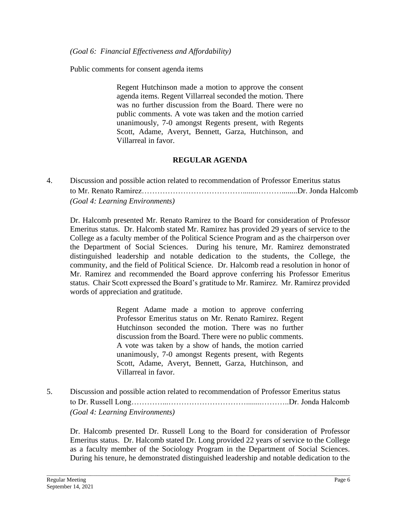Public comments for consent agenda items

Regent Hutchinson made a motion to approve the consent agenda items. Regent Villarreal seconded the motion. There was no further discussion from the Board. There were no public comments. A vote was taken and the motion carried unanimously, 7-0 amongst Regents present, with Regents Scott, Adame, Averyt, Bennett, Garza, Hutchinson, and Villarreal in favor.

### **REGULAR AGENDA**

4. Discussion and possible action related to recommendation of Professor Emeritus status to Mr. Renato Ramirez…………………………………........………........Dr. Jonda Halcomb *(Goal 4: Learning Environments)*

Dr. Halcomb presented Mr. Renato Ramirez to the Board for consideration of Professor Emeritus status. Dr. Halcomb stated Mr. Ramirez has provided 29 years of service to the College as a faculty member of the Political Science Program and as the chairperson over the Department of Social Sciences. During his tenure, Mr. Ramirez demonstrated distinguished leadership and notable dedication to the students, the College, the community, and the field of Political Science. Dr. Halcomb read a resolution in honor of Mr. Ramirez and recommended the Board approve conferring his Professor Emeritus status. Chair Scott expressed the Board's gratitude to Mr. Ramirez. Mr. Ramirez provided words of appreciation and gratitude.

> Regent Adame made a motion to approve conferring Professor Emeritus status on Mr. Renato Ramirez. Regent Hutchinson seconded the motion. There was no further discussion from the Board. There were no public comments. A vote was taken by a show of hands, the motion carried unanimously, 7-0 amongst Regents present, with Regents Scott, Adame, Averyt, Bennett, Garza, Hutchinson, and Villarreal in favor.

5. Discussion and possible action related to recommendation of Professor Emeritus status to Dr. Russell Long…………...…………………………........………..Dr. Jonda Halcomb *(Goal 4: Learning Environments)*

\_\_\_\_\_\_\_\_\_\_\_\_\_\_\_\_\_\_\_\_\_\_\_\_\_\_\_\_\_\_\_\_\_\_\_\_\_\_\_\_\_\_\_\_\_\_\_\_\_\_\_\_\_\_\_\_\_\_\_\_\_\_\_\_\_\_\_\_\_\_\_\_\_\_\_\_\_\_\_\_\_\_\_\_\_\_\_\_\_\_\_\_\_\_\_\_\_\_\_\_\_\_\_\_

Dr. Halcomb presented Dr. Russell Long to the Board for consideration of Professor Emeritus status. Dr. Halcomb stated Dr. Long provided 22 years of service to the College as a faculty member of the Sociology Program in the Department of Social Sciences. During his tenure, he demonstrated distinguished leadership and notable dedication to the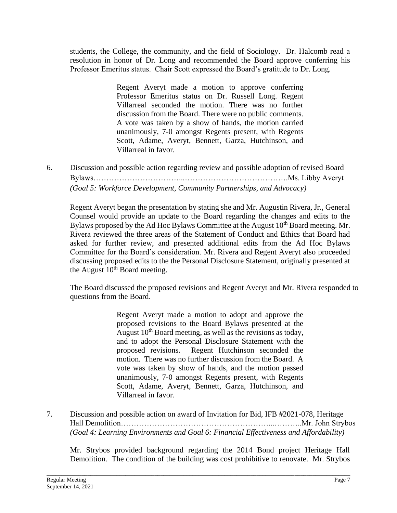students, the College, the community, and the field of Sociology. Dr. Halcomb read a resolution in honor of Dr. Long and recommended the Board approve conferring his Professor Emeritus status. Chair Scott expressed the Board's gratitude to Dr. Long.

> Regent Averyt made a motion to approve conferring Professor Emeritus status on Dr. Russell Long. Regent Villarreal seconded the motion. There was no further discussion from the Board. There were no public comments. A vote was taken by a show of hands, the motion carried unanimously, 7-0 amongst Regents present, with Regents Scott, Adame, Averyt, Bennett, Garza, Hutchinson, and Villarreal in favor.

6. Discussion and possible action regarding review and possible adoption of revised Board Bylaws……………………………...………………………………….Ms. Libby Averyt *(Goal 5: Workforce Development, Community Partnerships, and Advocacy)*

Regent Averyt began the presentation by stating she and Mr. Augustin Rivera, Jr., General Counsel would provide an update to the Board regarding the changes and edits to the Bylaws proposed by the Ad Hoc Bylaws Committee at the August  $10<sup>th</sup>$  Board meeting. Mr. Rivera reviewed the three areas of the Statement of Conduct and Ethics that Board had asked for further review, and presented additional edits from the Ad Hoc Bylaws Committee for the Board's consideration. Mr. Rivera and Regent Averyt also proceeded discussing proposed edits to the the Personal Disclosure Statement, originally presented at the August  $10^{th}$  Board meeting.

The Board discussed the proposed revisions and Regent Averyt and Mr. Rivera responded to questions from the Board.

> Regent Averyt made a motion to adopt and approve the proposed revisions to the Board Bylaws presented at the August  $10<sup>th</sup>$  Board meeting, as well as the revisions as today, and to adopt the Personal Disclosure Statement with the proposed revisions. Regent Hutchinson seconded the motion. There was no further discussion from the Board. A vote was taken by show of hands, and the motion passed unanimously, 7-0 amongst Regents present, with Regents Scott, Adame, Averyt, Bennett, Garza, Hutchinson, and Villarreal in favor.

7. Discussion and possible action on award of Invitation for Bid, IFB #2021-078, Heritage Hall Demolition…………………………………………………...………..Mr. John Strybos *(Goal 4: Learning Environments and Goal 6: Financial Effectiveness and Affordability)*

Mr. Strybos provided background regarding the 2014 Bond project Heritage Hall Demolition. The condition of the building was cost prohibitive to renovate. Mr. Strybos